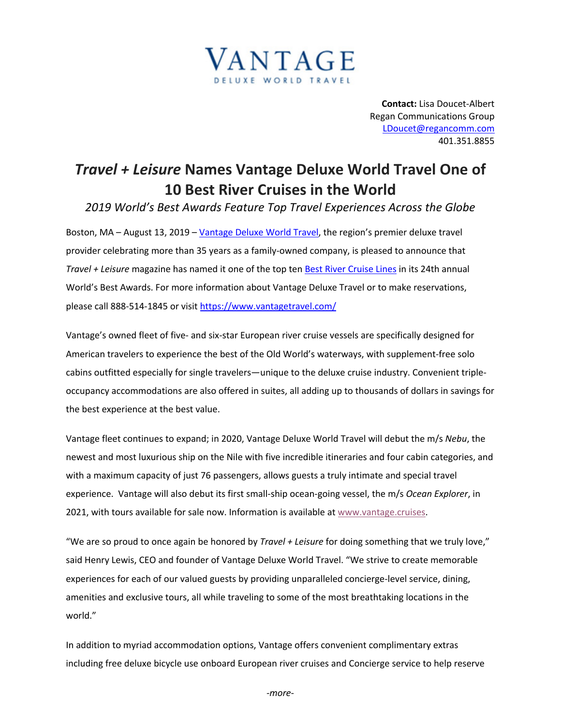

**Contact:** Lisa Doucet-Albert Regan Communications Group LDoucet@regancomm.com 401.351.8855

## *Travel + Leisure* **Names Vantage Deluxe World Travel One of 10 Best River Cruises in the World**

*2019 World's Best Awards Feature Top Travel Experiences Across the Globe*

Boston, MA - August 13, 2019 - Vantage Deluxe World Travel, the region's premier deluxe travel provider celebrating more than 35 years as a family-owned company, is pleased to announce that *Travel + Leisure* magazine has named it one of the top ten Best River Cruise Lines in its 24th annual World's Best Awards. For more information about Vantage Deluxe Travel or to make reservations, please call 888-514-1845 or visit https://www.vantagetravel.com/

Vantage's owned fleet of five- and six-star European river cruise vessels are specifically designed for American travelers to experience the best of the Old World's waterways, with supplement-free solo cabins outfitted especially for single travelers—unique to the deluxe cruise industry. Convenient tripleoccupancy accommodations are also offered in suites, all adding up to thousands of dollars in savings for the best experience at the best value.

Vantage fleet continues to expand; in 2020, Vantage Deluxe World Travel will debut the m/s *Nebu*, the newest and most luxurious ship on the Nile with five incredible itineraries and four cabin categories, and with a maximum capacity of just 76 passengers, allows guests a truly intimate and special travel experience. Vantage will also debut its first small-ship ocean-going vessel, the m/s *Ocean Explorer*, in 2021, with tours available for sale now. Information is available at www.vantage.cruises.

"We are so proud to once again be honored by *Travel + Leisure* for doing something that we truly love," said Henry Lewis, CEO and founder of Vantage Deluxe World Travel. "We strive to create memorable experiences for each of our valued guests by providing unparalleled concierge-level service, dining, amenities and exclusive tours, all while traveling to some of the most breathtaking locations in the world."

In addition to myriad accommodation options, Vantage offers convenient complimentary extras including free deluxe bicycle use onboard European river cruises and Concierge service to help reserve